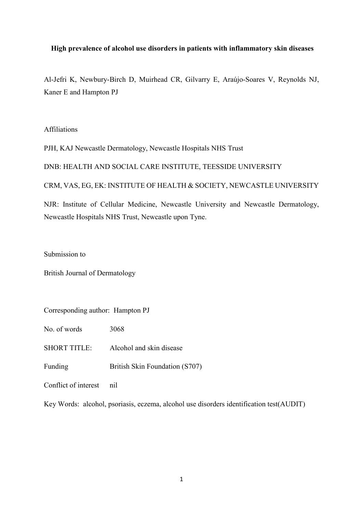# **High prevalence of alcohol use disorders in patients with inflammatory skin diseases**

Al-Jefri K, Newbury-Birch D, Muirhead CR, Gilvarry E, Araújo-Soares V, Reynolds NJ, Kaner E and Hampton PJ

## Affiliations

PJH, KAJ Newcastle Dermatology, Newcastle Hospitals NHS Trust

# DNB: HEALTH AND SOCIAL CARE INSTITUTE, TEESSIDE UNIVERSITY

# CRM, VAS, EG, EK: INSTITUTE OF HEALTH & SOCIETY, NEWCASTLE UNIVERSITY

NJR: Institute of Cellular Medicine, Newcastle University and Newcastle Dermatology, Newcastle Hospitals NHS Trust, Newcastle upon Tyne.

Submission to

British Journal of Dermatology

Corresponding author: Hampton PJ

No. of words 3068

SHORT TITLE: Alcohol and skin disease

Funding British Skin Foundation (S707)

Conflict of interest nil

Key Words: alcohol, psoriasis, eczema, alcohol use disorders identification test(AUDIT)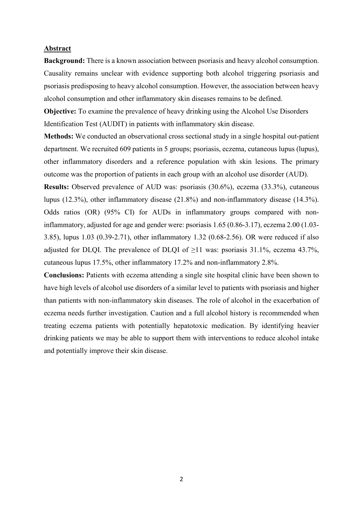## **Abstract**

**Background:** There is a known association between psoriasis and heavy alcohol consumption. Causality remains unclear with evidence supporting both alcohol triggering psoriasis and psoriasis predisposing to heavy alcohol consumption. However, the association between heavy alcohol consumption and other inflammatory skin diseases remains to be defined.

**Objective:** To examine the prevalence of heavy drinking using the Alcohol Use Disorders Identification Test (AUDIT) in patients with inflammatory skin disease.

**Methods:** We conducted an observational cross sectional study in a single hospital out-patient department. We recruited 609 patients in 5 groups; psoriasis, eczema, cutaneous lupus (lupus), other inflammatory disorders and a reference population with skin lesions. The primary outcome was the proportion of patients in each group with an alcohol use disorder (AUD).

**Results:** Observed prevalence of AUD was: psoriasis (30.6%), eczema (33.3%), cutaneous lupus (12.3%), other inflammatory disease (21.8%) and non-inflammatory disease (14.3%). Odds ratios (OR) (95% CI) for AUDs in inflammatory groups compared with noninflammatory, adjusted for age and gender were: psoriasis 1.65 (0.86-3.17), eczema 2.00 (1.03- 3.85), lupus 1.03 (0.39-2.71), other inflammatory 1.32 (0.68-2.56). OR were reduced if also adjusted for DLQI. The prevalence of DLQI of  $\geq 11$  was: psoriasis 31.1%, eczema 43.7%, cutaneous lupus 17.5%, other inflammatory 17.2% and non-inflammatory 2.8%.

**Conclusions:** Patients with eczema attending a single site hospital clinic have been shown to have high levels of alcohol use disorders of a similar level to patients with psoriasis and higher than patients with non-inflammatory skin diseases. The role of alcohol in the exacerbation of eczema needs further investigation. Caution and a full alcohol history is recommended when treating eczema patients with potentially hepatotoxic medication. By identifying heavier drinking patients we may be able to support them with interventions to reduce alcohol intake and potentially improve their skin disease.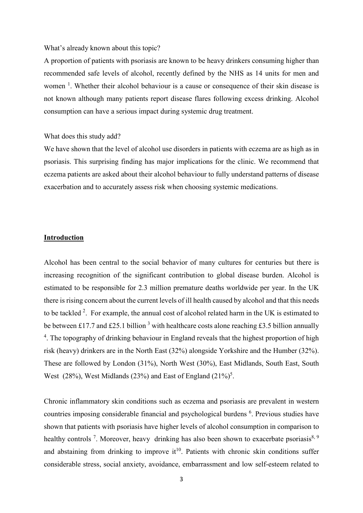#### What's already known about this topic?

A proportion of patients with psoriasis are known to be heavy drinkers consuming higher than recommended safe levels of alcohol, recently defined by the NHS as 14 units for men and women<sup>1</sup>. Whether their alcohol behaviour is a cause or consequence of their skin disease is not known although many patients report disease flares following excess drinking. Alcohol consumption can have a serious impact during systemic drug treatment.

#### What does this study add?

We have shown that the level of alcohol use disorders in patients with eczema are as high as in psoriasis. This surprising finding has major implications for the clinic. We recommend that eczema patients are asked about their alcohol behaviour to fully understand patterns of disease exacerbation and to accurately assess risk when choosing systemic medications.

# **Introduction**

Alcohol has been central to the social behavior of many cultures for centuries but there is increasing recognition of the significant contribution to global disease burden. Alcohol is estimated to be responsible for 2.3 million premature deaths worldwide per year. In the UK there is rising concern about the current levels of ill health caused by alcohol and that this needs to be tackled  $2$ . For example, the annual cost of alcohol related harm in the UK is estimated to be between £17.7 and £25.1 billion  $3$  with healthcare costs alone reaching £3.5 billion annually <sup>4</sup>. The topography of drinking behaviour in England reveals that the highest proportion of high risk (heavy) drinkers are in the North East (32%) alongside Yorkshire and the Humber (32%). These are followed by London (31%), North West (30%), East Midlands, South East, South West  $(28%)$ , West Midlands  $(23%)$  and East of England  $(21%)^5$ .

Chronic inflammatory skin conditions such as eczema and psoriasis are prevalent in western countries imposing considerable financial and psychological burdens <sup>6</sup>. Previous studies have shown that patients with psoriasis have higher levels of alcohol consumption in comparison to healthy controls<sup>7</sup>. Moreover, heavy drinking has also been shown to exacerbate psoriasis<sup>8, 9</sup> and abstaining from drinking to improve  $it^{10}$ . Patients with chronic skin conditions suffer considerable stress, social anxiety, avoidance, embarrassment and low self-esteem related to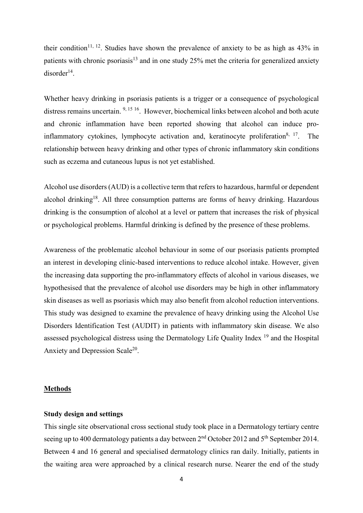their condition<sup>11, 12</sup>. Studies have shown the prevalence of anxiety to be as high as  $43\%$  in patients with chronic psoriasis<sup>13</sup> and in one study 25% met the criteria for generalized anxiety  $disorder<sup>14</sup>$ .

Whether heavy drinking in psoriasis patients is a trigger or a consequence of psychological distress remains uncertain. 9, 15 16. However, biochemical links between alcohol and both acute and chronic inflammation have been reported showing that alcohol can induce proinflammatory cytokines, lymphocyte activation and, keratinocyte proliferation<sup>8, 17</sup>. The relationship between heavy drinking and other types of chronic inflammatory skin conditions such as eczema and cutaneous lupus is not yet established.

Alcohol use disorders (AUD) is a collective term that refers to hazardous, harmful or dependent alcohol drinking<sup>18</sup>. All three consumption patterns are forms of heavy drinking. Hazardous drinking is the consumption of alcohol at a level or pattern that increases the risk of physical or psychological problems. Harmful drinking is defined by the presence of these problems.

Awareness of the problematic alcohol behaviour in some of our psoriasis patients prompted an interest in developing clinic-based interventions to reduce alcohol intake. However, given the increasing data supporting the pro-inflammatory effects of alcohol in various diseases, we hypothesised that the prevalence of alcohol use disorders may be high in other inflammatory skin diseases as well as psoriasis which may also benefit from alcohol reduction interventions. This study was designed to examine the prevalence of heavy drinking using the Alcohol Use Disorders Identification Test (AUDIT) in patients with inflammatory skin disease. We also assessed psychological distress using the Dermatology Life Quality Index <sup>19</sup> and the Hospital Anxiety and Depression Scale<sup>20</sup>.

#### **Methods**

#### **Study design and settings**

This single site observational cross sectional study took place in a Dermatology tertiary centre seeing up to 400 dermatology patients a day between 2<sup>nd</sup> October 2012 and 5<sup>th</sup> September 2014. Between 4 and 16 general and specialised dermatology clinics ran daily. Initially, patients in the waiting area were approached by a clinical research nurse. Nearer the end of the study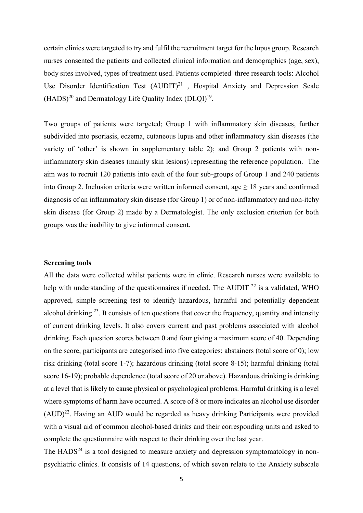certain clinics were targeted to try and fulfil the recruitment target for the lupus group. Research nurses consented the patients and collected clinical information and demographics (age, sex), body sites involved, types of treatment used. Patients completed three research tools: Alcohol Use Disorder Identification Test  $(AUDIT)^{21}$ , Hospital Anxiety and Depression Scale  $(HADS)^{20}$  and Dermatology Life Quality Index  $(DLOI)^{19}$ .

Two groups of patients were targeted; Group 1 with inflammatory skin diseases, further subdivided into psoriasis, eczema, cutaneous lupus and other inflammatory skin diseases (the variety of 'other' is shown in supplementary table 2); and Group 2 patients with noninflammatory skin diseases (mainly skin lesions) representing the reference population. The aim was to recruit 120 patients into each of the four sub-groups of Group 1 and 240 patients into Group 2. Inclusion criteria were written informed consent, age  $\geq 18$  years and confirmed diagnosis of an inflammatory skin disease (for Group 1) or of non-inflammatory and non-itchy skin disease (for Group 2) made by a Dermatologist. The only exclusion criterion for both groups was the inability to give informed consent.

### **Screening tools**

All the data were collected whilst patients were in clinic. Research nurses were available to help with understanding of the questionnaires if needed. The AUDIT <sup>22</sup> is a validated, WHO approved, simple screening test to identify hazardous, harmful and potentially dependent alcohol drinking  $^{23}$ . It consists of ten questions that cover the frequency, quantity and intensity of current drinking levels. It also covers current and past problems associated with alcohol drinking. Each question scores between 0 and four giving a maximum score of 40. Depending on the score, participants are categorised into five categories; abstainers (total score of 0); low risk drinking (total score 1-7); hazardous drinking (total score 8-15); harmful drinking (total score 16-19); probable dependence (total score of 20 or above). Hazardous drinking is drinking at a level that is likely to cause physical or psychological problems. Harmful drinking is a level where symptoms of harm have occurred. A score of 8 or more indicates an alcohol use disorder (AUD)22. Having an AUD would be regarded as heavy drinking Participants were provided with a visual aid of common alcohol-based drinks and their corresponding units and asked to complete the questionnaire with respect to their drinking over the last year.

The  $HADS<sup>24</sup>$  is a tool designed to measure anxiety and depression symptomatology in nonpsychiatric clinics. It consists of 14 questions, of which seven relate to the Anxiety subscale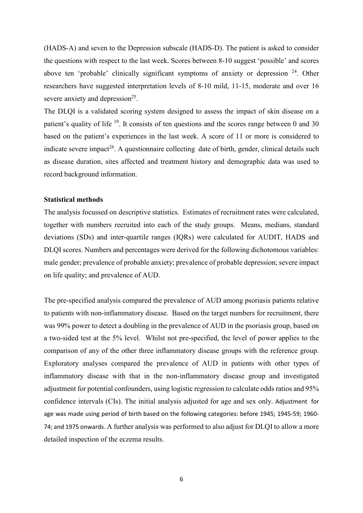(HADS-A) and seven to the Depression subscale (HADS-D). The patient is asked to consider the questions with respect to the last week. Scores between 8-10 suggest 'possible' and scores above ten 'probable' clinically significant symptoms of anxiety or depression <sup>24</sup>. Other researchers have suggested interpretation levels of 8-10 mild, 11-15, moderate and over 16 severe anxiety and depression<sup>25</sup>.

The DLQI is a validated scoring system designed to assess the impact of skin disease on a patient's quality of life  $19$ . It consists of ten questions and the scores range between 0 and 30 based on the patient's experiences in the last week. A score of 11 or more is considered to indicate severe impact<sup>26</sup>. A questionnaire collecting date of birth, gender, clinical details such as disease duration, sites affected and treatment history and demographic data was used to record background information.

## **Statistical methods**

The analysis focussed on descriptive statistics. Estimates of recruitment rates were calculated, together with numbers recruited into each of the study groups. Means, medians, standard deviations (SDs) and inter-quartile ranges (IQRs) were calculated for AUDIT, HADS and DLQI scores. Numbers and percentages were derived for the following dichotomous variables: male gender; prevalence of probable anxiety; prevalence of probable depression; severe impact on life quality; and prevalence of AUD.

The pre-specified analysis compared the prevalence of AUD among psoriasis patients relative to patients with non-inflammatory disease. Based on the target numbers for recruitment, there was 99% power to detect a doubling in the prevalence of AUD in the psoriasis group, based on a two-sided test at the 5% level. Whilst not pre-specified, the level of power applies to the comparison of any of the other three inflammatory disease groups with the reference group. Exploratory analyses compared the prevalence of AUD in patients with other types of inflammatory disease with that in the non-inflammatory disease group and investigated adjustment for potential confounders, using logistic regression to calculate odds ratios and 95% confidence intervals (CIs). The initial analysis adjusted for age and sex only. Adjustment for age was made using period of birth based on the following categories: before 1945; 1945-59; 1960- 74; and 1975 onwards. A further analysis was performed to also adjust for DLQI to allow a more detailed inspection of the eczema results.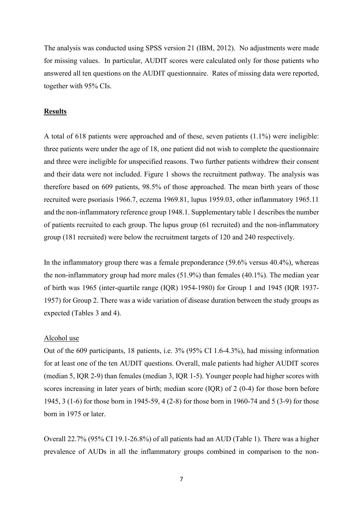The analysis was conducted using SPSS version 21 (IBM, 2012). No adjustments were made for missing values. In particular, AUDIT scores were calculated only for those patients who answered all ten questions on the AUDIT questionnaire. Rates of missing data were reported, together with 95% CIs.

### **Results**

A total of 618 patients were approached and of these, seven patients (1.1%) were ineligible: three patients were under the age of 18, one patient did not wish to complete the questionnaire and three were ineligible for unspecified reasons. Two further patients withdrew their consent and their data were not included. Figure 1 shows the recruitment pathway. The analysis was therefore based on 609 patients, 98.5% of those approached. The mean birth years of those recruited were psoriasis 1966.7, eczema 1969.81, lupus 1959.03, other inflammatory 1965.11 and the non-inflammatory reference group 1948.1. Supplementary table 1 describes the number of patients recruited to each group. The lupus group (61 recruited) and the non-inflammatory group (181 recruited) were below the recruitment targets of 120 and 240 respectively.

In the inflammatory group there was a female preponderance (59.6% versus 40.4%), whereas the non-inflammatory group had more males (51.9%) than females (40.1%). The median year of birth was 1965 (inter-quartile range (IQR) 1954-1980) for Group 1 and 1945 (IQR 1937- 1957) for Group 2. There was a wide variation of disease duration between the study groups as expected (Tables 3 and 4).

### Alcohol use

Out of the 609 participants, 18 patients, i.e. 3% (95% CI 1.6-4.3%), had missing information for at least one of the ten AUDIT questions. Overall, male patients had higher AUDIT scores (median 5, IQR 2-9) than females (median 3, IQR 1-5). Younger people had higher scores with scores increasing in later years of birth; median score (IQR) of 2 (0-4) for those born before 1945, 3 (1-6) for those born in 1945-59, 4 (2-8) for those born in 1960-74 and 5 (3-9) for those born in 1975 or later.

Overall 22.7% (95% CI 19.1-26.8%) of all patients had an AUD (Table 1). There was a higher prevalence of AUDs in all the inflammatory groups combined in comparison to the non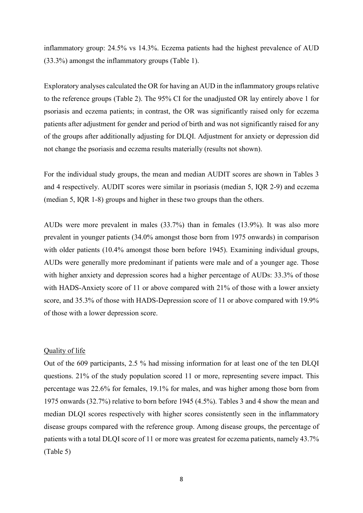inflammatory group: 24.5% vs 14.3%. Eczema patients had the highest prevalence of AUD (33.3%) amongst the inflammatory groups (Table 1).

Exploratory analyses calculated the OR for having an AUD in the inflammatory groups relative to the reference groups (Table 2). The 95% CI for the unadjusted OR lay entirely above 1 for psoriasis and eczema patients; in contrast, the OR was significantly raised only for eczema patients after adjustment for gender and period of birth and was not significantly raised for any of the groups after additionally adjusting for DLQI. Adjustment for anxiety or depression did not change the psoriasis and eczema results materially (results not shown).

For the individual study groups, the mean and median AUDIT scores are shown in Tables 3 and 4 respectively. AUDIT scores were similar in psoriasis (median 5, IQR 2-9) and eczema (median 5, IQR 1-8) groups and higher in these two groups than the others.

AUDs were more prevalent in males (33.7%) than in females (13.9%). It was also more prevalent in younger patients (34.0% amongst those born from 1975 onwards) in comparison with older patients (10.4% amongst those born before 1945). Examining individual groups, AUDs were generally more predominant if patients were male and of a younger age. Those with higher anxiety and depression scores had a higher percentage of AUDs: 33.3% of those with HADS-Anxiety score of 11 or above compared with 21% of those with a lower anxiety score, and 35.3% of those with HADS-Depression score of 11 or above compared with 19.9% of those with a lower depression score.

## Quality of life

Out of the 609 participants, 2.5 % had missing information for at least one of the ten DLQI questions. 21% of the study population scored 11 or more, representing severe impact. This percentage was 22.6% for females, 19.1% for males, and was higher among those born from 1975 onwards (32.7%) relative to born before 1945 (4.5%). Tables 3 and 4 show the mean and median DLQI scores respectively with higher scores consistently seen in the inflammatory disease groups compared with the reference group. Among disease groups, the percentage of patients with a total DLQI score of 11 or more was greatest for eczema patients, namely 43.7% (Table 5)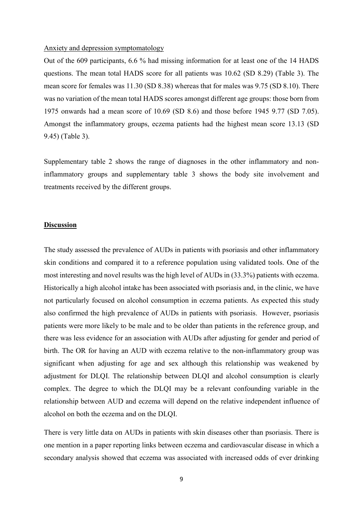#### Anxiety and depression symptomatology

Out of the 609 participants, 6.6 % had missing information for at least one of the 14 HADS questions. The mean total HADS score for all patients was 10.62 (SD 8.29) (Table 3). The mean score for females was 11.30 (SD 8.38) whereas that for males was 9.75 (SD 8.10). There was no variation of the mean total HADS scores amongst different age groups: those born from 1975 onwards had a mean score of 10.69 (SD 8.6) and those before 1945 9.77 (SD 7.05). Amongst the inflammatory groups, eczema patients had the highest mean score 13.13 (SD 9.45) (Table 3).

Supplementary table 2 shows the range of diagnoses in the other inflammatory and noninflammatory groups and supplementary table 3 shows the body site involvement and treatments received by the different groups.

### **Discussion**

The study assessed the prevalence of AUDs in patients with psoriasis and other inflammatory skin conditions and compared it to a reference population using validated tools. One of the most interesting and novel results was the high level of AUDs in (33.3%) patients with eczema. Historically a high alcohol intake has been associated with psoriasis and, in the clinic, we have not particularly focused on alcohol consumption in eczema patients. As expected this study also confirmed the high prevalence of AUDs in patients with psoriasis. However, psoriasis patients were more likely to be male and to be older than patients in the reference group, and there was less evidence for an association with AUDs after adjusting for gender and period of birth. The OR for having an AUD with eczema relative to the non-inflammatory group was significant when adjusting for age and sex although this relationship was weakened by adjustment for DLQI. The relationship between DLQI and alcohol consumption is clearly complex. The degree to which the DLQI may be a relevant confounding variable in the relationship between AUD and eczema will depend on the relative independent influence of alcohol on both the eczema and on the DLQI.

There is very little data on AUDs in patients with skin diseases other than psoriasis. There is one mention in a paper reporting links between eczema and cardiovascular disease in which a secondary analysis showed that eczema was associated with increased odds of ever drinking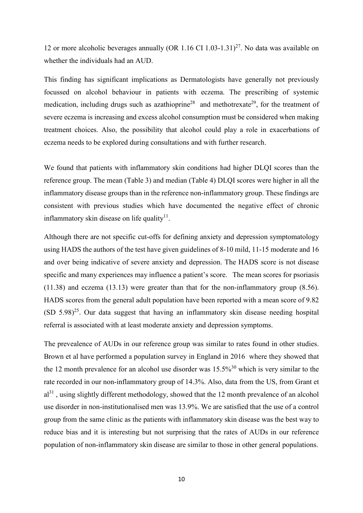12 or more alcoholic beverages annually (OR 1.16 CI 1.03-1.31)<sup>27</sup>. No data was available on whether the individuals had an AUD.

This finding has significant implications as Dermatologists have generally not previously focussed on alcohol behaviour in patients with eczema. The prescribing of systemic medication, including drugs such as azathioprine<sup>28</sup> and methotrexate<sup>29</sup>, for the treatment of severe eczema is increasing and excess alcohol consumption must be considered when making treatment choices. Also, the possibility that alcohol could play a role in exacerbations of eczema needs to be explored during consultations and with further research.

We found that patients with inflammatory skin conditions had higher DLQI scores than the reference group. The mean (Table 3) and median (Table 4) DLQI scores were higher in all the inflammatory disease groups than in the reference non-inflammatory group. These findings are consistent with previous studies which have documented the negative effect of chronic inflammatory skin disease on life quality $11$ .

Although there are not specific cut-offs for defining anxiety and depression symptomatology using HADS the authors of the test have given guidelines of 8-10 mild, 11-15 moderate and 16 and over being indicative of severe anxiety and depression. The HADS score is not disease specific and many experiences may influence a patient's score. The mean scores for psoriasis (11.38) and eczema (13.13) were greater than that for the non-inflammatory group (8.56). HADS scores from the general adult population have been reported with a mean score of 9.82  $(SD 5.98)^{25}$ . Our data suggest that having an inflammatory skin disease needing hospital referral is associated with at least moderate anxiety and depression symptoms.

The prevealence of AUDs in our reference group was similar to rates found in other studies. Brown et al have performed a population survey in England in 2016 where they showed that the 12 month prevalence for an alcohol use disorder was  $15.5\%^{30}$  which is very similar to the rate recorded in our non-inflammatory group of 14.3%. Also, data from the US, from Grant et  $al<sup>31</sup>$ , using slightly different methodology, showed that the 12 month prevalence of an alcohol use disorder in non-institutionalised men was 13.9%. We are satisfied that the use of a control group from the same clinic as the patients with inflammatory skin disease was the best way to reduce bias and it is interesting but not surprising that the rates of AUDs in our reference population of non-inflammatory skin disease are similar to those in other general populations.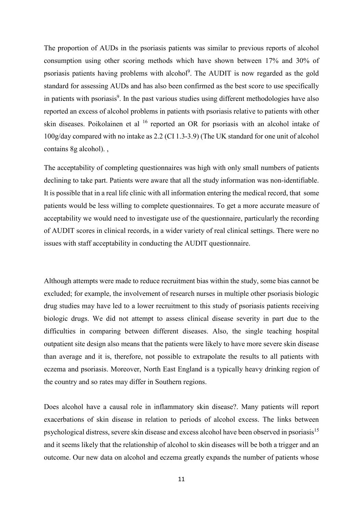The proportion of AUDs in the psoriasis patients was similar to previous reports of alcohol consumption using other scoring methods which have shown between 17% and 30% of psoriasis patients having problems with alcohol<sup>9</sup>. The AUDIT is now regarded as the gold standard for assessing AUDs and has also been confirmed as the best score to use specifically in patients with psoriasis<sup>9</sup>. In the past various studies using different methodologies have also reported an excess of alcohol problems in patients with psoriasis relative to patients with other skin diseases. Poikolainen et al <sup>16</sup> reported an OR for psoriasis with an alcohol intake of 100g/day compared with no intake as 2.2 (CI 1.3-3.9) (The UK standard for one unit of alcohol contains 8g alcohol). ,

The acceptability of completing questionnaires was high with only small numbers of patients declining to take part. Patients were aware that all the study information was non-identifiable. It is possible that in a real life clinic with all information entering the medical record, that some patients would be less willing to complete questionnaires. To get a more accurate measure of acceptability we would need to investigate use of the questionnaire, particularly the recording of AUDIT scores in clinical records, in a wider variety of real clinical settings. There were no issues with staff acceptability in conducting the AUDIT questionnaire.

Although attempts were made to reduce recruitment bias within the study, some bias cannot be excluded; for example, the involvement of research nurses in multiple other psoriasis biologic drug studies may have led to a lower recruitment to this study of psoriasis patients receiving biologic drugs. We did not attempt to assess clinical disease severity in part due to the difficulties in comparing between different diseases. Also, the single teaching hospital outpatient site design also means that the patients were likely to have more severe skin disease than average and it is, therefore, not possible to extrapolate the results to all patients with eczema and psoriasis. Moreover, North East England is a typically heavy drinking region of the country and so rates may differ in Southern regions.

Does alcohol have a causal role in inflammatory skin disease?. Many patients will report exacerbations of skin disease in relation to periods of alcohol excess. The links between psychological distress, severe skin disease and excess alcohol have been observed in psoriasis<sup>15</sup> and it seems likely that the relationship of alcohol to skin diseases will be both a trigger and an outcome. Our new data on alcohol and eczema greatly expands the number of patients whose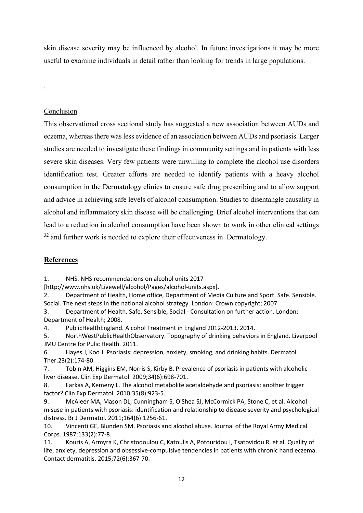skin disease severity may be influenced by alcohol. In future investigations it may be more useful to examine individuals in detail rather than looking for trends in large populations.

# Conclusion

.

This observational cross sectional study has suggested a new association between AUDs and eczema, whereas there was less evidence of an association between AUDs and psoriasis. Larger studies are needed to investigate these findings in community settings and in patients with less severe skin diseases. Very few patients were unwilling to complete the alcohol use disorders identification test. Greater efforts are needed to identify patients with a heavy alcohol consumption in the Dermatology clinics to ensure safe drug prescribing and to allow support and advice in achieving safe levels of alcohol consumption. Studies to disentangle causality in alcohol and inflammatory skin disease will be challenging. Brief alcohol interventions that can lead to a reduction in alcohol consumption have been shown to work in other clinical settings  $32$  and further work is needed to explore their effectiveness in Dermatology.

# **References**

1. NHS. NHS recommendations on alcohol units 2017

[\[http://www.nhs.uk/Livewell/alcohol/Pages/alcohol-units.aspx\]](http://www.nhs.uk/Livewell/alcohol/Pages/alcohol-units.aspx).

2. Department of Health, Home office, Department of Media Culture and Sport. Safe. Sensible. Social. The next steps in the national alcohol strategy. London: Crown copyright; 2007.

3. Department of Health. Safe, Sensible, Social - Consultation on further action. London: Department of Health; 2008.

4. PublicHealthEngland. Alcohol Treatment in England 2012-2013. 2014.

5. NorthWestPublicHealthObservatory. Topography of drinking behaviors in England. Liverpool JMU Centre for Pulic Health. 2011.

6. Hayes J, Koo J. Psoriasis: depression, anxiety, smoking, and drinking habits. Dermatol Ther.23(2):174-80.

7. Tobin AM, Higgins EM, Norris S, Kirby B. Prevalence of psoriasis in patients with alcoholic liver disease. Clin Exp Dermatol. 2009;34(6):698-701.

8. Farkas A, Kemeny L. The alcohol metabolite acetaldehyde and psoriasis: another trigger factor? Clin Exp Dermatol. 2010;35(8):923-5.

9. McAleer MA, Mason DL, Cunningham S, O'Shea SJ, McCormick PA, Stone C, et al. Alcohol misuse in patients with psoriasis: identification and relationship to disease severity and psychological distress. Br J Dermatol. 2011;164(6):1256-61.

10. Vincenti GE, Blunden SM. Psoriasis and alcohol abuse. Journal of the Royal Army Medical Corps. 1987;133(2):77-8.

11. Kouris A, Armyra K, Christodoulou C, Katoulis A, Potouridou I, Tsatovidou R, et al. Quality of life, anxiety, depression and obsessive-compulsive tendencies in patients with chronic hand eczema. Contact dermatitis. 2015;72(6):367-70.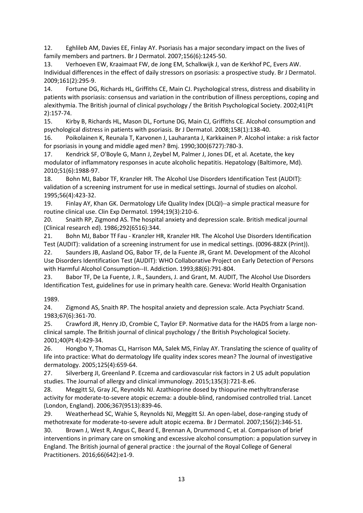12. Eghlileb AM, Davies EE, Finlay AY. Psoriasis has a major secondary impact on the lives of family members and partners. Br J Dermatol. 2007;156(6):1245-50.

13. Verhoeven EW, Kraaimaat FW, de Jong EM, Schalkwijk J, van de Kerkhof PC, Evers AW. Individual differences in the effect of daily stressors on psoriasis: a prospective study. Br J Dermatol. 2009;161(2):295-9.

14. Fortune DG, Richards HL, Griffiths CE, Main CJ. Psychological stress, distress and disability in patients with psoriasis: consensus and variation in the contribution of illness perceptions, coping and alexithymia. The British journal of clinical psychology / the British Psychological Society. 2002;41(Pt 2):157-74.

15. Kirby B, Richards HL, Mason DL, Fortune DG, Main CJ, Griffiths CE. Alcohol consumption and psychological distress in patients with psoriasis. Br J Dermatol. 2008;158(1):138-40.

16. Poikolainen K, Reunala T, Karvonen J, Lauharanta J, Karkkainen P. Alcohol intake: a risk factor for psoriasis in young and middle aged men? Bmj. 1990;300(6727):780-3.

17. Kendrick SF, O'Boyle G, Mann J, Zeybel M, Palmer J, Jones DE, et al. Acetate, the key modulator of inflammatory responses in acute alcoholic hepatitis. Hepatology (Baltimore, Md). 2010;51(6):1988-97.

18. Bohn MJ, Babor TF, Kranzler HR. The Alcohol Use Disorders Identification Test (AUDIT): validation of a screening instrument for use in medical settings. Journal of studies on alcohol. 1995;56(4):423-32.

19. Finlay AY, Khan GK. Dermatology Life Quality Index (DLQI)--a simple practical measure for routine clinical use. Clin Exp Dermatol. 1994;19(3):210-6.

20. Snaith RP, Zigmond AS. The hospital anxiety and depression scale. British medical journal (Clinical research ed). 1986;292(6516):344.

21. Bohn MJ, Babor Tf Fau - Kranzler HR, Kranzler HR. The Alcohol Use Disorders Identification Test (AUDIT): validation of a screening instrument for use in medical settings. (0096-882X (Print)). 22. Saunders JB, Aasland OG, Babor TF, de la Fuente JR, Grant M. Development of the Alcohol

Use Disorders Identification Test (AUDIT): WHO Collaborative Project on Early Detection of Persons with Harmful Alcohol Consumption--II. Addiction. 1993;88(6):791-804.

23. Babor TF, De La Fuente, J. R., Saunders, J. and Grant, M. AUDIT, The Alcohol Use Disorders Identification Test, guidelines for use in primary health care. Geneva: World Health Organisation

1989.

24. Zigmond AS, Snaith RP. The hospital anxiety and depression scale. Acta Psychiatr Scand. 1983;67(6):361-70.

25. Crawford JR, Henry JD, Crombie C, Taylor EP. Normative data for the HADS from a large nonclinical sample. The British journal of clinical psychology / the British Psychological Society. 2001;40(Pt 4):429-34.

26. Hongbo Y, Thomas CL, Harrison MA, Salek MS, Finlay AY. Translating the science of quality of life into practice: What do dermatology life quality index scores mean? The Journal of investigative dermatology. 2005;125(4):659-64.

27. Silverberg JI, Greenland P. Eczema and cardiovascular risk factors in 2 US adult population studies. The Journal of allergy and clinical immunology. 2015;135(3):721-8.e6.

28. Meggitt SJ, Gray JC, Reynolds NJ. Azathioprine dosed by thiopurine methyltransferase activity for moderate-to-severe atopic eczema: a double-blind, randomised controlled trial. Lancet (London, England). 2006;367(9513):839-46.

29. Weatherhead SC, Wahie S, Reynolds NJ, Meggitt SJ. An open-label, dose-ranging study of methotrexate for moderate-to-severe adult atopic eczema. Br J Dermatol. 2007;156(2):346-51.

30. Brown J, West R, Angus C, Beard E, Brennan A, Drummond C, et al. Comparison of brief interventions in primary care on smoking and excessive alcohol consumption: a population survey in England. The British journal of general practice : the journal of the Royal College of General Practitioners. 2016;66(642):e1-9.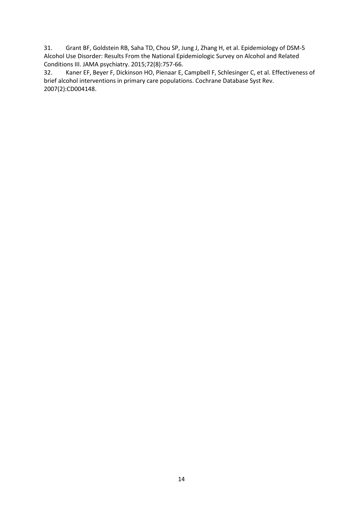31. Grant BF, Goldstein RB, Saha TD, Chou SP, Jung J, Zhang H, et al. Epidemiology of DSM-5 Alcohol Use Disorder: Results From the National Epidemiologic Survey on Alcohol and Related Conditions III. JAMA psychiatry. 2015;72(8):757-66.

32. Kaner EF, Beyer F, Dickinson HO, Pienaar E, Campbell F, Schlesinger C, et al. Effectiveness of brief alcohol interventions in primary care populations. Cochrane Database Syst Rev. 2007(2):CD004148.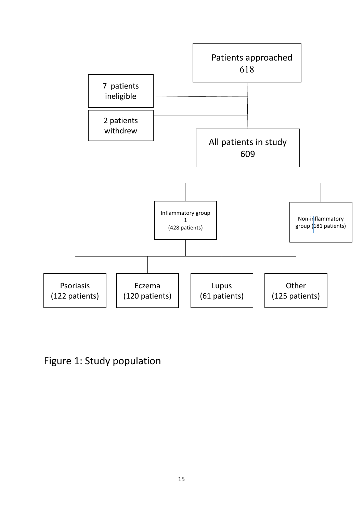

Figure 1: Study population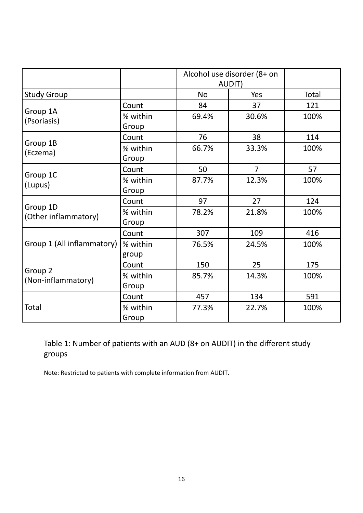|                                          |                   | Alcohol use disorder (8+ on<br>AUDIT) |                |       |
|------------------------------------------|-------------------|---------------------------------------|----------------|-------|
| <b>Study Group</b>                       |                   | <b>No</b>                             | Yes            | Total |
| Group 1A<br>(Psoriasis)                  | Count             | 84                                    | 37             | 121   |
|                                          | % within<br>Group | 69.4%                                 | 30.6%          | 100%  |
| Group 1B<br>(Eczema)                     | Count             | 76                                    | 38             | 114   |
|                                          | % within<br>Group | 66.7%                                 | 33.3%          | 100%  |
| Group 1C<br>(Lupus)                      | Count             | 50                                    | $\overline{7}$ | 57    |
|                                          | % within<br>Group | 87.7%                                 | 12.3%          | 100%  |
| Group 1D<br>(Other inflammatory)         | Count             | 97                                    | 27             | 124   |
|                                          | % within<br>Group | 78.2%                                 | 21.8%          | 100%  |
| Group 1 (All inflammatory)               | Count             | 307                                   | 109            | 416   |
|                                          | % within<br>group | 76.5%                                 | 24.5%          | 100%  |
| Group <sub>2</sub><br>(Non-inflammatory) | Count             | 150                                   | 25             | 175   |
|                                          | % within<br>Group | 85.7%                                 | 14.3%          | 100%  |
| Total                                    | Count             | 457                                   | 134            | 591   |
|                                          | % within<br>Group | 77.3%                                 | 22.7%          | 100%  |

Table 1: Number of patients with an AUD (8+ on AUDIT) in the different study groups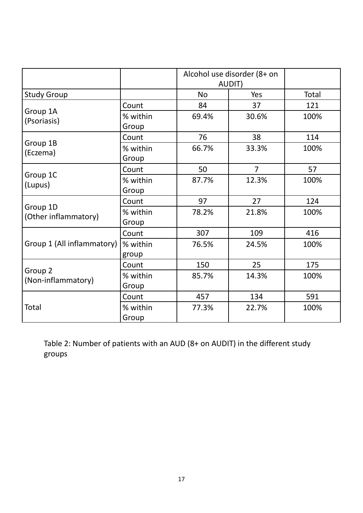|                                  |                   | Alcohol use disorder (8+ on<br>AUDIT) |                |       |
|----------------------------------|-------------------|---------------------------------------|----------------|-------|
| <b>Study Group</b>               |                   | <b>No</b>                             | Yes            | Total |
| Group 1A<br>(Psoriasis)          | Count             | 84                                    | 37             | 121   |
|                                  | % within          | 69.4%                                 | 30.6%          | 100%  |
|                                  | Group             |                                       |                |       |
| Group 1B<br>(Eczema)             | Count             | 76                                    | 38             | 114   |
|                                  | % within          | 66.7%                                 | 33.3%          | 100%  |
|                                  | Group             |                                       |                |       |
|                                  | Count             | 50                                    | $\overline{7}$ | 57    |
| Group 1C<br>(Lupus)              | % within          | 87.7%                                 | 12.3%          | 100%  |
|                                  | Group             |                                       |                |       |
| Group 1D<br>(Other inflammatory) | Count             | 97                                    | 27             | 124   |
|                                  | % within          | 78.2%                                 | 21.8%          | 100%  |
|                                  | Group             |                                       |                |       |
| Group 1 (All inflammatory)       | Count             | 307                                   | 109            | 416   |
|                                  | % within          | 76.5%                                 | 24.5%          | 100%  |
|                                  | group             |                                       |                |       |
| Group 2<br>(Non-inflammatory)    | Count             | 150                                   | 25             | 175   |
|                                  | % within          | 85.7%                                 | 14.3%          | 100%  |
|                                  | Group             |                                       |                |       |
| Total                            | Count             | 457                                   | 134            | 591   |
|                                  | % within<br>Group | 77.3%                                 | 22.7%          | 100%  |

Table 2: Number of patients with an AUD (8+ on AUDIT) in the different study groups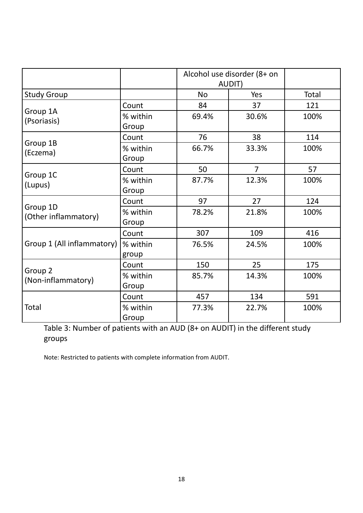|                                  |                   | Alcohol use disorder (8+ on<br>AUDIT) |                |       |
|----------------------------------|-------------------|---------------------------------------|----------------|-------|
| <b>Study Group</b>               |                   | <b>No</b>                             | Yes            | Total |
| Group 1A<br>(Psoriasis)          | Count             | 84                                    | 37             | 121   |
|                                  | % within          | 69.4%                                 | 30.6%          | 100%  |
|                                  | Group             |                                       |                |       |
|                                  | Count             | 76                                    | 38             | 114   |
| Group 1B<br>(Eczema)             | % within          | 66.7%                                 | 33.3%          | 100%  |
|                                  | Group             |                                       |                |       |
| Group 1C<br>(Lupus)              | Count             | 50                                    | $\overline{7}$ | 57    |
|                                  | % within          | 87.7%                                 | 12.3%          | 100%  |
|                                  | Group             |                                       |                |       |
| Group 1D<br>(Other inflammatory) | Count             | 97                                    | 27             | 124   |
|                                  | % within          | 78.2%                                 | 21.8%          | 100%  |
|                                  | Group             |                                       |                |       |
| Group 1 (All inflammatory)       | Count             | 307                                   | 109            | 416   |
|                                  | % within          | 76.5%                                 | 24.5%          | 100%  |
|                                  | group             |                                       |                |       |
| Group 2<br>(Non-inflammatory)    | Count             | 150                                   | 25             | 175   |
|                                  | % within          | 85.7%                                 | 14.3%          | 100%  |
|                                  | Group             |                                       |                |       |
| Total                            | Count             | 457                                   | 134            | 591   |
|                                  | % within<br>Group | 77.3%                                 | 22.7%          | 100%  |

Table 3: Number of patients with an AUD (8+ on AUDIT) in the different study groups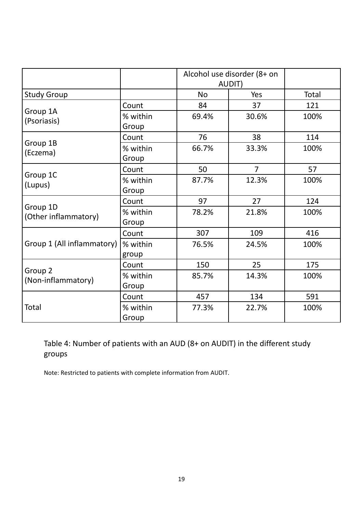|                                          |                   | Alcohol use disorder (8+ on<br>AUDIT) |                |       |
|------------------------------------------|-------------------|---------------------------------------|----------------|-------|
| <b>Study Group</b>                       |                   | <b>No</b>                             | Yes            | Total |
| Group 1A<br>(Psoriasis)                  | Count             | 84                                    | 37             | 121   |
|                                          | % within<br>Group | 69.4%                                 | 30.6%          | 100%  |
| Group 1B<br>(Eczema)                     | Count             | 76                                    | 38             | 114   |
|                                          | % within<br>Group | 66.7%                                 | 33.3%          | 100%  |
| Group 1C<br>(Lupus)                      | Count             | 50                                    | $\overline{7}$ | 57    |
|                                          | % within<br>Group | 87.7%                                 | 12.3%          | 100%  |
| Group 1D<br>(Other inflammatory)         | Count             | 97                                    | 27             | 124   |
|                                          | % within<br>Group | 78.2%                                 | 21.8%          | 100%  |
| Group 1 (All inflammatory)               | Count             | 307                                   | 109            | 416   |
|                                          | % within<br>group | 76.5%                                 | 24.5%          | 100%  |
| Group <sub>2</sub><br>(Non-inflammatory) | Count             | 150                                   | 25             | 175   |
|                                          | % within<br>Group | 85.7%                                 | 14.3%          | 100%  |
| Total                                    | Count             | 457                                   | 134            | 591   |
|                                          | % within<br>Group | 77.3%                                 | 22.7%          | 100%  |

Table 4: Number of patients with an AUD (8+ on AUDIT) in the different study groups